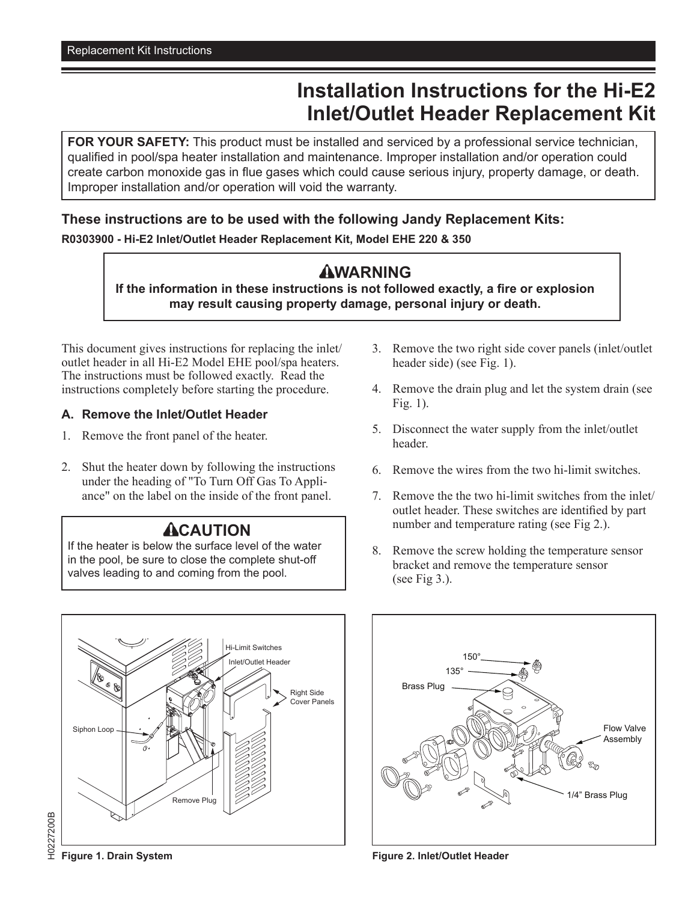# **Installation Instructions for the Hi-E2 Inlet/Outlet Header Replacement Kit**

**FOR YOUR SAFETY:** This product must be installed and serviced by a professional service technician, qualified in pool/spa heater installation and maintenance. Improper installation and/or operation could create carbon monoxide gas in flue gases which could cause serious injury, property damage, or death. Improper installation and/or operation will void the warranty.

#### **These instructions are to be used with the following Jandy Replacement Kits:**

**R0303900 - Hi-E2 Inlet/Outlet Header Replacement Kit, Model EHE 220 & 350**

## **AWARNING**

**If the information in these instructions is not followed exactly, a fire or explosion may result causing property damage, personal injury or death.**

This document gives instructions for replacing the inlet/ outlet header in all Hi-E2 Model EHE pool/spa heaters. The instructions must be followed exactly. Read the instructions completely before starting the procedure.

#### **A. Remove the Inlet/Outlet Header**

- 1. Remove the front panel of the heater.
- 2. Shut the heater down by following the instructions under the heading of "To Turn Off Gas To Appliance" on the label on the inside of the front panel.

## **ACAUTION**

If the heater is below the surface level of the water in the pool, be sure to close the complete shut-off valves leading to and coming from the pool.

- 3. Remove the two right side cover panels (inlet/outlet header side) (see Fig. 1).
- 4. Remove the drain plug and let the system drain (see Fig. 1).
- 5. Disconnect the water supply from the inlet/outlet header.
- 6. Remove the wires from the two hi-limit switches.
- 7. Remove the the two hi-limit switches from the inlet/ outlet header. These switches are identified by part number and temperature rating (see Fig 2.).
- 8. Remove the screw holding the temperature sensor bracket and remove the temperature sensor (see Fig  $3$ .).





**Figure 2. Inlet/Outlet Header**

H0227200B H0227200B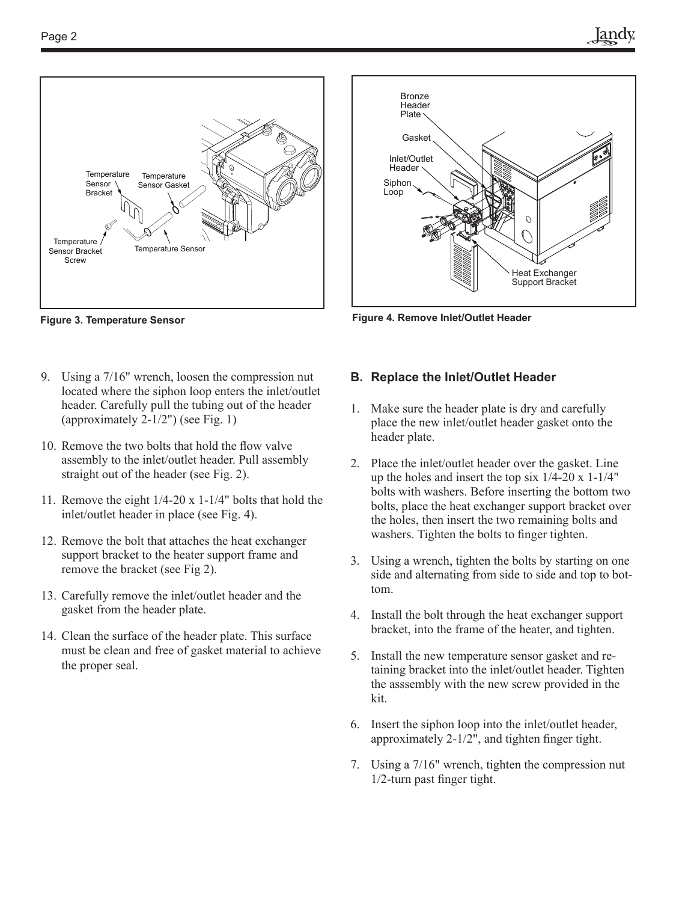

**Figure 3. Temperature Sensor**

- 9. Using a 7/16" wrench, loosen the compression nut located where the siphon loop enters the inlet/outlet header. Carefully pull the tubing out of the header (approximately 2-1/2") (see Fig. 1)
- 10. Remove the two bolts that hold the flow valve assembly to the inlet/outlet header. Pull assembly straight out of the header (see Fig. 2).
- 11. Remove the eight 1/4-20 x 1-1/4" bolts that hold the inlet/outlet header in place (see Fig. 4).
- 12. Remove the bolt that attaches the heat exchanger support bracket to the heater support frame and remove the bracket (see Fig 2).
- 13. Carefully remove the inlet/outlet header and the gasket from the header plate.
- 14. Clean the surface of the header plate. This surface must be clean and free of gasket material to achieve the proper seal.



**Figure 4. Remove Inlet/Outlet Header**

#### **B. Replace the Inlet/Outlet Header**

- 1. Make sure the header plate is dry and carefully place the new inlet/outlet header gasket onto the header plate.
- 2. Place the inlet/outlet header over the gasket. Line up the holes and insert the top six  $1/4$ -20 x 1-1/4" bolts with washers. Before inserting the bottom two bolts, place the heat exchanger support bracket over the holes, then insert the two remaining bolts and washers. Tighten the bolts to finger tighten.
- 3. Using a wrench, tighten the bolts by starting on one side and alternating from side to side and top to bottom.
- 4. Install the bolt through the heat exchanger support bracket, into the frame of the heater, and tighten.
- 5. Install the new temperature sensor gasket and retaining bracket into the inlet/outlet header. Tighten the asssembly with the new screw provided in the kit.
- 6. Insert the siphon loop into the inlet/outlet header, approximately 2-1/2", and tighten finger tight.
- 7. Using a 7/16" wrench, tighten the compression nut 1/2-turn past finger tight.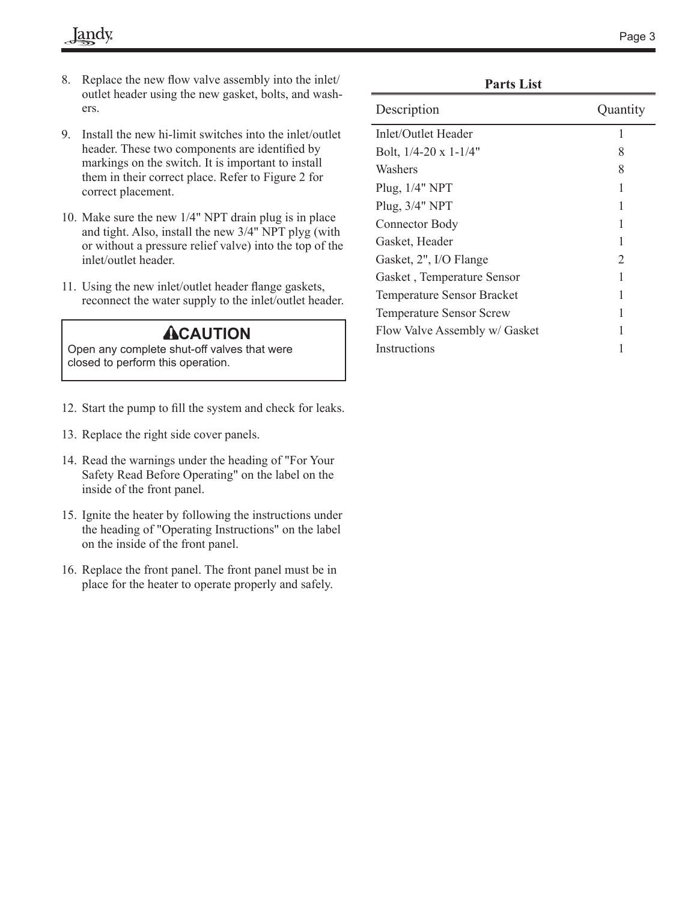- 8. Replace the new flow valve assembly into the inlet/ outlet header using the new gasket, bolts, and washers.
- 9. Install the new hi-limit switches into the inlet/outlet header. These two components are identified by markings on the switch. It is important to install them in their correct place. Refer to Figure 2 for correct placement.
- 10. Make sure the new 1/4" NPT drain plug is in place and tight. Also, install the new 3/4" NPT plyg (with or without a pressure relief valve) into the top of the inlet/outlet header.
- 11. Using the new inlet/outlet header flange gaskets, reconnect the water supply to the inlet/outlet header.

### **ACAUTION**

Open any complete shut-off valves that were closed to perform this operation.

- 12. Start the pump to fill the system and check for leaks.
- 13. Replace the right side cover panels.
- 14. Read the warnings under the heading of "For Your Safety Read Before Operating" on the label on the inside of the front panel.
- 15. Ignite the heater by following the instructions under the heading of "Operating Instructions" on the label on the inside of the front panel.
- 16. Replace the front panel. The front panel must be in place for the heater to operate properly and safely.

| Description                       | Quantity       |
|-----------------------------------|----------------|
| Inlet/Outlet Header               | 1              |
| Bolt, $1/4-20 \times 1-1/4$ "     | 8              |
| Washers                           | 8              |
| Plug, 1/4" NPT                    | 1              |
| Plug, 3/4" NPT                    | 1              |
| Connector Body                    | 1              |
| Gasket, Header                    | 1              |
| Gasket, 2", I/O Flange            | $\overline{2}$ |
| Gasket, Temperature Sensor        | 1              |
| <b>Temperature Sensor Bracket</b> |                |
| <b>Temperature Sensor Screw</b>   |                |
| Flow Valve Assembly w/ Gasket     |                |
| Instructions                      |                |

**Parts List**

 $\overline{a}$